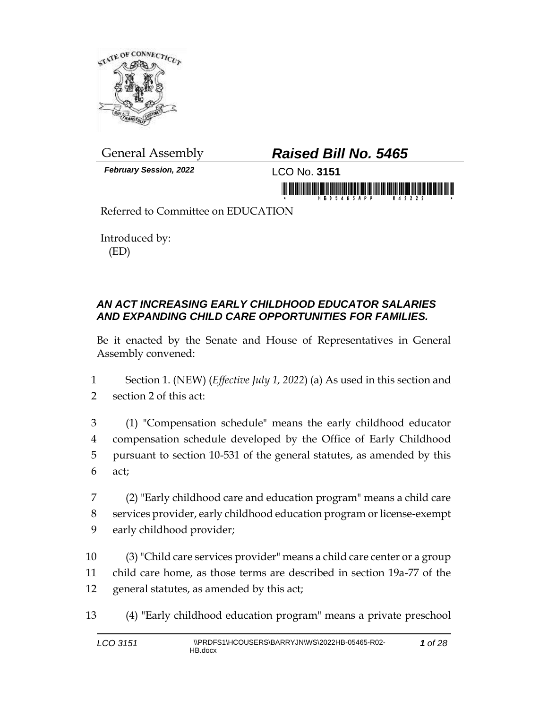

*February Session, 2022* LCO No. **3151**

# General Assembly *Raised Bill No. 5465*

in morning friends in the state of the state of the state of the state of the state of the state of the state o

Referred to Committee on EDUCATION

Introduced by: (ED)

### *AN ACT INCREASING EARLY CHILDHOOD EDUCATOR SALARIES AND EXPANDING CHILD CARE OPPORTUNITIES FOR FAMILIES.*

Be it enacted by the Senate and House of Representatives in General Assembly convened:

1 Section 1. (NEW) (*Effective July 1, 2022*) (a) As used in this section and 2 section 2 of this act:

 (1) "Compensation schedule" means the early childhood educator compensation schedule developed by the Office of Early Childhood pursuant to section 10-531 of the general statutes, as amended by this 6 act;

7 (2) "Early childhood care and education program" means a child care 8 services provider, early childhood education program or license-exempt 9 early childhood provider;

10 (3) "Child care services provider" means a child care center or a group 11 child care home, as those terms are described in section 19a-77 of the 12 general statutes, as amended by this act;

13 (4) "Early childhood education program" means a private preschool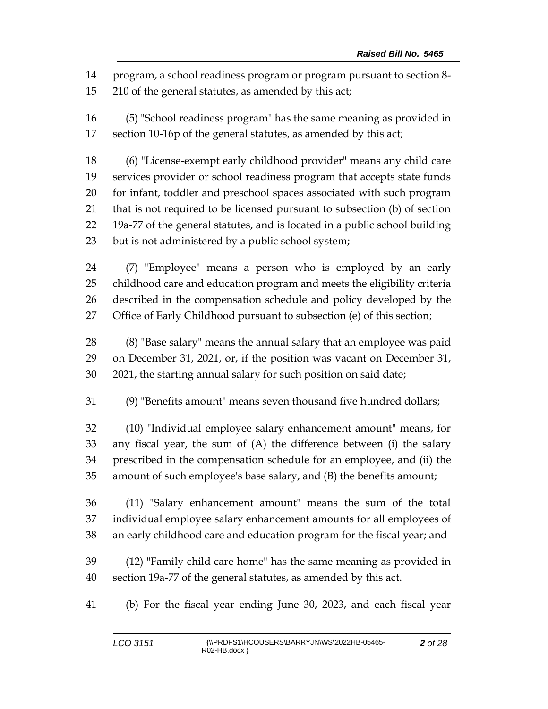program, a school readiness program or program pursuant to section 8-

210 of the general statutes, as amended by this act;

 (5) "School readiness program" has the same meaning as provided in section 10-16p of the general statutes, as amended by this act;

 (6) "License-exempt early childhood provider" means any child care services provider or school readiness program that accepts state funds for infant, toddler and preschool spaces associated with such program that is not required to be licensed pursuant to subsection (b) of section 19a-77 of the general statutes, and is located in a public school building but is not administered by a public school system;

 (7) "Employee" means a person who is employed by an early childhood care and education program and meets the eligibility criteria described in the compensation schedule and policy developed by the Office of Early Childhood pursuant to subsection (e) of this section;

 (8) "Base salary" means the annual salary that an employee was paid on December 31, 2021, or, if the position was vacant on December 31, 2021, the starting annual salary for such position on said date;

(9) "Benefits amount" means seven thousand five hundred dollars;

 (10) "Individual employee salary enhancement amount" means, for any fiscal year, the sum of (A) the difference between (i) the salary prescribed in the compensation schedule for an employee, and (ii) the amount of such employee's base salary, and (B) the benefits amount;

 (11) "Salary enhancement amount" means the sum of the total individual employee salary enhancement amounts for all employees of an early childhood care and education program for the fiscal year; and

 (12) "Family child care home" has the same meaning as provided in section 19a-77 of the general statutes, as amended by this act.

(b) For the fiscal year ending June 30, 2023, and each fiscal year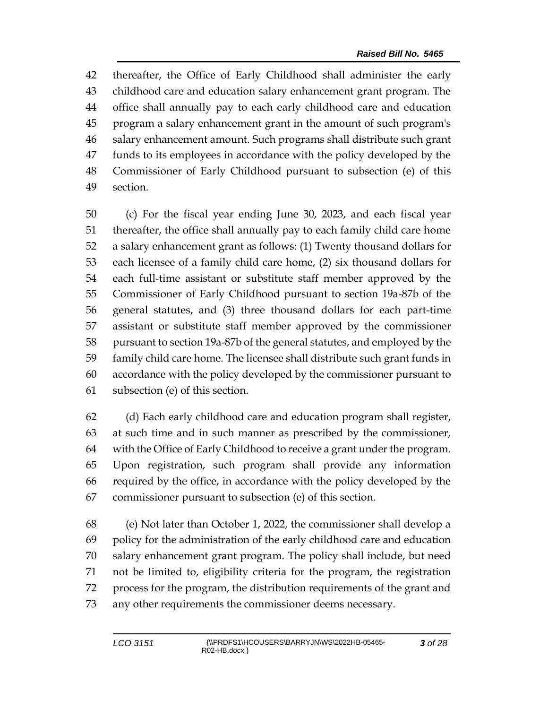thereafter, the Office of Early Childhood shall administer the early childhood care and education salary enhancement grant program. The office shall annually pay to each early childhood care and education program a salary enhancement grant in the amount of such program's salary enhancement amount. Such programs shall distribute such grant funds to its employees in accordance with the policy developed by the Commissioner of Early Childhood pursuant to subsection (e) of this section.

 (c) For the fiscal year ending June 30, 2023, and each fiscal year thereafter, the office shall annually pay to each family child care home a salary enhancement grant as follows: (1) Twenty thousand dollars for each licensee of a family child care home, (2) six thousand dollars for each full-time assistant or substitute staff member approved by the Commissioner of Early Childhood pursuant to section 19a-87b of the general statutes, and (3) three thousand dollars for each part-time assistant or substitute staff member approved by the commissioner pursuant to section 19a-87b of the general statutes, and employed by the family child care home. The licensee shall distribute such grant funds in accordance with the policy developed by the commissioner pursuant to subsection (e) of this section.

 (d) Each early childhood care and education program shall register, at such time and in such manner as prescribed by the commissioner, with the Office of Early Childhood to receive a grant under the program. Upon registration, such program shall provide any information required by the office, in accordance with the policy developed by the commissioner pursuant to subsection (e) of this section.

 (e) Not later than October 1, 2022, the commissioner shall develop a policy for the administration of the early childhood care and education salary enhancement grant program. The policy shall include, but need not be limited to, eligibility criteria for the program, the registration process for the program, the distribution requirements of the grant and any other requirements the commissioner deems necessary.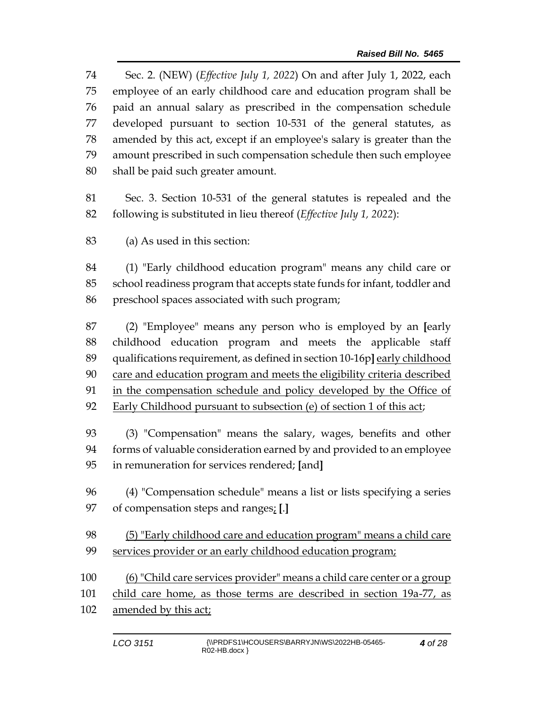Sec. 2. (NEW) (*Effective July 1, 2022*) On and after July 1, 2022, each employee of an early childhood care and education program shall be paid an annual salary as prescribed in the compensation schedule developed pursuant to section 10-531 of the general statutes, as amended by this act, except if an employee's salary is greater than the amount prescribed in such compensation schedule then such employee shall be paid such greater amount.

 Sec. 3. Section 10-531 of the general statutes is repealed and the following is substituted in lieu thereof (*Effective July 1, 2022*):

(a) As used in this section:

 (1) "Early childhood education program" means any child care or school readiness program that accepts state funds for infant, toddler and preschool spaces associated with such program;

 (2) "Employee" means any person who is employed by an **[**early childhood education program and meets the applicable staff 89 qualifications requirement, as defined in section 10-16p] early childhood care and education program and meets the eligibility criteria described in the compensation schedule and policy developed by the Office of Early Childhood pursuant to subsection (e) of section 1 of this act;

 (3) "Compensation" means the salary, wages, benefits and other forms of valuable consideration earned by and provided to an employee in remuneration for services rendered; **[**and**]**

 (4) "Compensation schedule" means a list or lists specifying a series of compensation steps and ranges; **[**.**]**

 (5) "Early childhood care and education program" means a child care services provider or an early childhood education program;

 (6) "Child care services provider" means a child care center or a group child care home, as those terms are described in section 19a-77, as amended by this act;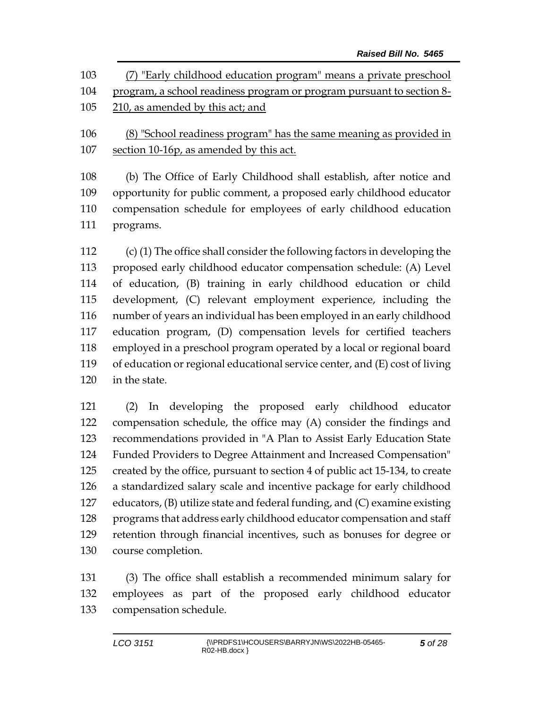| 103 | (7) "Early childhood education program" means a private preschool     |
|-----|-----------------------------------------------------------------------|
| 104 | program, a school readiness program or program pursuant to section 8- |
| 105 | 210, as amended by this act; and                                      |
| 106 | (8) "School readiness program" has the same meaning as provided in    |
| 107 | section 10-16p, as amended by this act.                               |

 (b) The Office of Early Childhood shall establish, after notice and opportunity for public comment, a proposed early childhood educator compensation schedule for employees of early childhood education programs.

 (c) (1) The office shall consider the following factors in developing the proposed early childhood educator compensation schedule: (A) Level of education, (B) training in early childhood education or child development, (C) relevant employment experience, including the number of years an individual has been employed in an early childhood education program, (D) compensation levels for certified teachers employed in a preschool program operated by a local or regional board of education or regional educational service center, and (E) cost of living in the state.

 (2) In developing the proposed early childhood educator compensation schedule, the office may (A) consider the findings and recommendations provided in "A Plan to Assist Early Education State Funded Providers to Degree Attainment and Increased Compensation" created by the office, pursuant to section 4 of public act 15-134, to create a standardized salary scale and incentive package for early childhood educators, (B) utilize state and federal funding, and (C) examine existing programs that address early childhood educator compensation and staff retention through financial incentives, such as bonuses for degree or course completion.

 (3) The office shall establish a recommended minimum salary for employees as part of the proposed early childhood educator compensation schedule.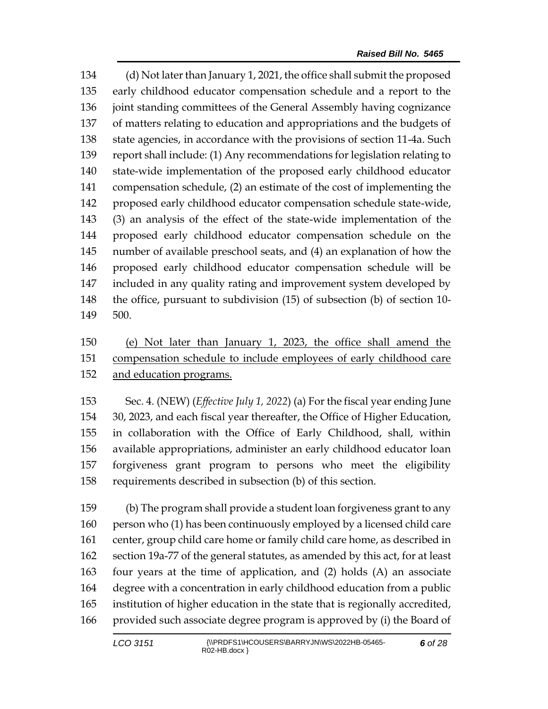(d) Not later than January 1, 2021, the office shall submit the proposed early childhood educator compensation schedule and a report to the joint standing committees of the General Assembly having cognizance of matters relating to education and appropriations and the budgets of state agencies, in accordance with the provisions of section 11-4a. Such report shall include: (1) Any recommendations for legislation relating to state-wide implementation of the proposed early childhood educator compensation schedule, (2) an estimate of the cost of implementing the proposed early childhood educator compensation schedule state-wide, (3) an analysis of the effect of the state-wide implementation of the proposed early childhood educator compensation schedule on the number of available preschool seats, and (4) an explanation of how the proposed early childhood educator compensation schedule will be included in any quality rating and improvement system developed by the office, pursuant to subdivision (15) of subsection (b) of section 10- 500.

## (e) Not later than January 1, 2023, the office shall amend the compensation schedule to include employees of early childhood care and education programs.

 Sec. 4. (NEW) (*Effective July 1, 2022*) (a) For the fiscal year ending June 30, 2023, and each fiscal year thereafter, the Office of Higher Education, in collaboration with the Office of Early Childhood, shall, within available appropriations, administer an early childhood educator loan forgiveness grant program to persons who meet the eligibility requirements described in subsection (b) of this section.

 (b) The program shall provide a student loan forgiveness grant to any person who (1) has been continuously employed by a licensed child care center, group child care home or family child care home, as described in section 19a-77 of the general statutes, as amended by this act, for at least four years at the time of application, and (2) holds (A) an associate degree with a concentration in early childhood education from a public institution of higher education in the state that is regionally accredited, provided such associate degree program is approved by (i) the Board of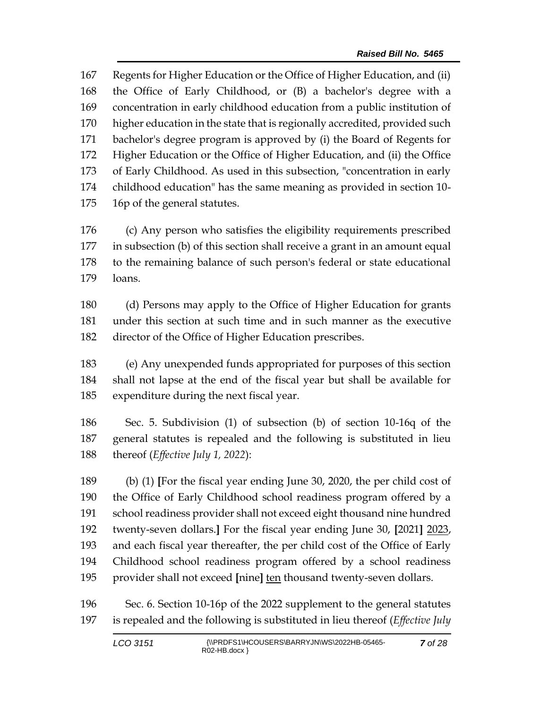Regents for Higher Education or the Office of Higher Education, and (ii) the Office of Early Childhood, or (B) a bachelor's degree with a concentration in early childhood education from a public institution of higher education in the state that is regionally accredited, provided such bachelor's degree program is approved by (i) the Board of Regents for Higher Education or the Office of Higher Education, and (ii) the Office of Early Childhood. As used in this subsection, "concentration in early childhood education" has the same meaning as provided in section 10- 16p of the general statutes.

 (c) Any person who satisfies the eligibility requirements prescribed in subsection (b) of this section shall receive a grant in an amount equal to the remaining balance of such person's federal or state educational loans.

 (d) Persons may apply to the Office of Higher Education for grants under this section at such time and in such manner as the executive director of the Office of Higher Education prescribes.

 (e) Any unexpended funds appropriated for purposes of this section shall not lapse at the end of the fiscal year but shall be available for expenditure during the next fiscal year.

 Sec. 5. Subdivision (1) of subsection (b) of section 10-16q of the general statutes is repealed and the following is substituted in lieu thereof (*Effective July 1, 2022*):

 (b) (1) **[**For the fiscal year ending June 30, 2020, the per child cost of the Office of Early Childhood school readiness program offered by a school readiness provider shall not exceed eight thousand nine hundred twenty-seven dollars.**]** For the fiscal year ending June 30, **[**2021**]** 2023, and each fiscal year thereafter, the per child cost of the Office of Early Childhood school readiness program offered by a school readiness provider shall not exceed **[**nine**]** ten thousand twenty-seven dollars.

 Sec. 6. Section 10-16p of the 2022 supplement to the general statutes is repealed and the following is substituted in lieu thereof (*Effective July*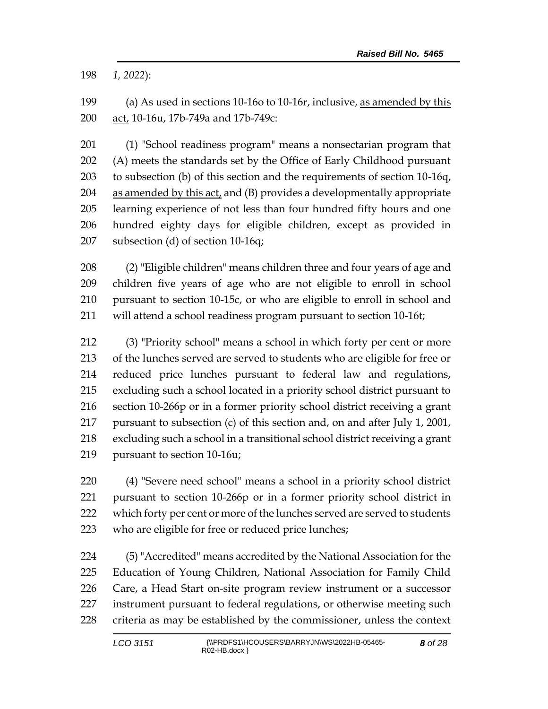*1, 2022*):

 (a) As used in sections 10-16o to 10-16r, inclusive, as amended by this act, 10-16u, 17b-749a and 17b-749c:

 (1) "School readiness program" means a nonsectarian program that (A) meets the standards set by the Office of Early Childhood pursuant to subsection (b) of this section and the requirements of section 10-16q, as amended by this act, and (B) provides a developmentally appropriate learning experience of not less than four hundred fifty hours and one hundred eighty days for eligible children, except as provided in subsection (d) of section 10-16q;

 (2) "Eligible children" means children three and four years of age and children five years of age who are not eligible to enroll in school pursuant to section 10-15c, or who are eligible to enroll in school and will attend a school readiness program pursuant to section 10-16t;

 (3) "Priority school" means a school in which forty per cent or more of the lunches served are served to students who are eligible for free or reduced price lunches pursuant to federal law and regulations, excluding such a school located in a priority school district pursuant to section 10-266p or in a former priority school district receiving a grant pursuant to subsection (c) of this section and, on and after July 1, 2001, excluding such a school in a transitional school district receiving a grant pursuant to section 10-16u;

 (4) "Severe need school" means a school in a priority school district pursuant to section 10-266p or in a former priority school district in which forty per cent or more of the lunches served are served to students who are eligible for free or reduced price lunches;

 (5) "Accredited" means accredited by the National Association for the Education of Young Children, National Association for Family Child Care, a Head Start on-site program review instrument or a successor instrument pursuant to federal regulations, or otherwise meeting such criteria as may be established by the commissioner, unless the context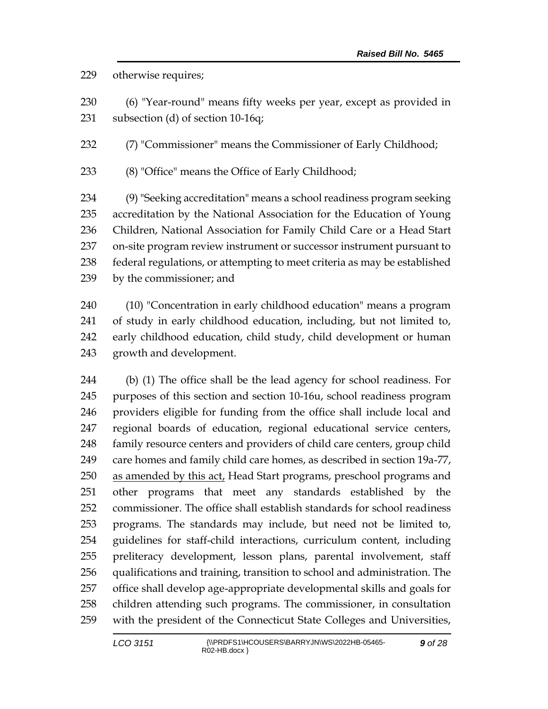### otherwise requires;

 (6) "Year-round" means fifty weeks per year, except as provided in subsection (d) of section 10-16q;

(7) "Commissioner" means the Commissioner of Early Childhood;

(8) "Office" means the Office of Early Childhood;

 (9) "Seeking accreditation" means a school readiness program seeking accreditation by the National Association for the Education of Young Children, National Association for Family Child Care or a Head Start on-site program review instrument or successor instrument pursuant to federal regulations, or attempting to meet criteria as may be established by the commissioner; and

 (10) "Concentration in early childhood education" means a program of study in early childhood education, including, but not limited to, early childhood education, child study, child development or human growth and development.

 (b) (1) The office shall be the lead agency for school readiness. For purposes of this section and section 10-16u, school readiness program providers eligible for funding from the office shall include local and regional boards of education, regional educational service centers, family resource centers and providers of child care centers, group child care homes and family child care homes, as described in section 19a-77, 250 as amended by this act, Head Start programs, preschool programs and other programs that meet any standards established by the commissioner. The office shall establish standards for school readiness programs. The standards may include, but need not be limited to, guidelines for staff-child interactions, curriculum content, including preliteracy development, lesson plans, parental involvement, staff qualifications and training, transition to school and administration. The office shall develop age-appropriate developmental skills and goals for children attending such programs. The commissioner, in consultation with the president of the Connecticut State Colleges and Universities,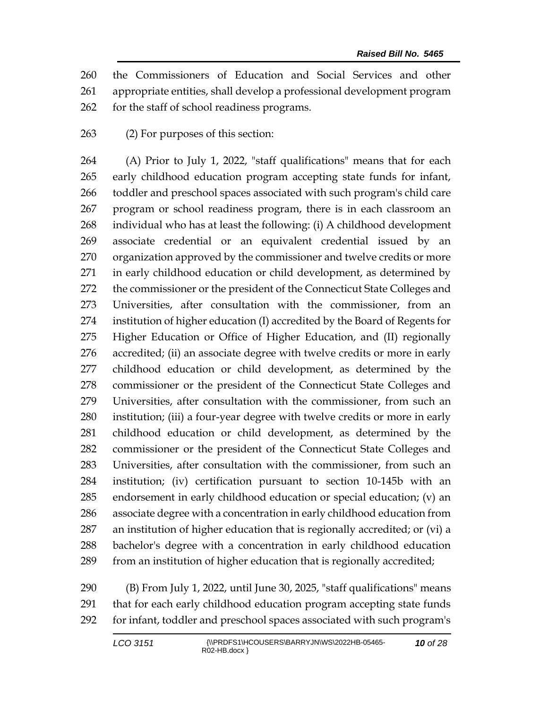the Commissioners of Education and Social Services and other appropriate entities, shall develop a professional development program for the staff of school readiness programs.

(2) For purposes of this section:

 (A) Prior to July 1, 2022, "staff qualifications" means that for each early childhood education program accepting state funds for infant, toddler and preschool spaces associated with such program's child care program or school readiness program, there is in each classroom an individual who has at least the following: (i) A childhood development associate credential or an equivalent credential issued by an organization approved by the commissioner and twelve credits or more in early childhood education or child development, as determined by the commissioner or the president of the Connecticut State Colleges and Universities, after consultation with the commissioner, from an institution of higher education (I) accredited by the Board of Regents for Higher Education or Office of Higher Education, and (II) regionally accredited; (ii) an associate degree with twelve credits or more in early childhood education or child development, as determined by the commissioner or the president of the Connecticut State Colleges and Universities, after consultation with the commissioner, from such an institution; (iii) a four-year degree with twelve credits or more in early childhood education or child development, as determined by the commissioner or the president of the Connecticut State Colleges and Universities, after consultation with the commissioner, from such an institution; (iv) certification pursuant to section 10-145b with an endorsement in early childhood education or special education; (v) an associate degree with a concentration in early childhood education from an institution of higher education that is regionally accredited; or (vi) a bachelor's degree with a concentration in early childhood education from an institution of higher education that is regionally accredited;

 (B) From July 1, 2022, until June 30, 2025, "staff qualifications" means that for each early childhood education program accepting state funds for infant, toddler and preschool spaces associated with such program's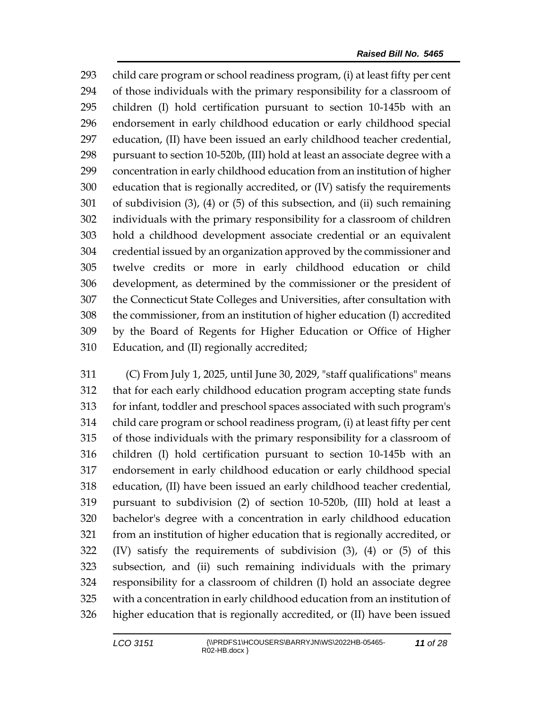child care program or school readiness program, (i) at least fifty per cent of those individuals with the primary responsibility for a classroom of children (I) hold certification pursuant to section 10-145b with an endorsement in early childhood education or early childhood special education, (II) have been issued an early childhood teacher credential, pursuant to section 10-520b, (III) hold at least an associate degree with a concentration in early childhood education from an institution of higher education that is regionally accredited, or (IV) satisfy the requirements of subdivision (3), (4) or (5) of this subsection, and (ii) such remaining individuals with the primary responsibility for a classroom of children hold a childhood development associate credential or an equivalent credential issued by an organization approved by the commissioner and twelve credits or more in early childhood education or child development, as determined by the commissioner or the president of the Connecticut State Colleges and Universities, after consultation with the commissioner, from an institution of higher education (I) accredited by the Board of Regents for Higher Education or Office of Higher Education, and (II) regionally accredited;

 (C) From July 1, 2025, until June 30, 2029, "staff qualifications" means that for each early childhood education program accepting state funds for infant, toddler and preschool spaces associated with such program's child care program or school readiness program, (i) at least fifty per cent of those individuals with the primary responsibility for a classroom of children (I) hold certification pursuant to section 10-145b with an endorsement in early childhood education or early childhood special education, (II) have been issued an early childhood teacher credential, pursuant to subdivision (2) of section 10-520b, (III) hold at least a bachelor's degree with a concentration in early childhood education from an institution of higher education that is regionally accredited, or (IV) satisfy the requirements of subdivision (3), (4) or (5) of this subsection, and (ii) such remaining individuals with the primary responsibility for a classroom of children (I) hold an associate degree with a concentration in early childhood education from an institution of higher education that is regionally accredited, or (II) have been issued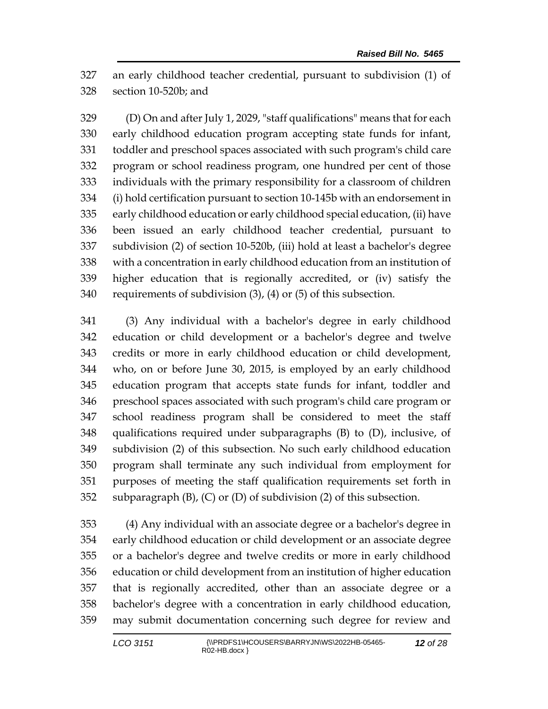an early childhood teacher credential, pursuant to subdivision (1) of section 10-520b; and

 (D) On and after July 1, 2029, "staff qualifications" means that for each early childhood education program accepting state funds for infant, toddler and preschool spaces associated with such program's child care program or school readiness program, one hundred per cent of those individuals with the primary responsibility for a classroom of children (i) hold certification pursuant to section 10-145b with an endorsement in early childhood education or early childhood special education, (ii) have been issued an early childhood teacher credential, pursuant to subdivision (2) of section 10-520b, (iii) hold at least a bachelor's degree with a concentration in early childhood education from an institution of higher education that is regionally accredited, or (iv) satisfy the requirements of subdivision (3), (4) or (5) of this subsection.

 (3) Any individual with a bachelor's degree in early childhood education or child development or a bachelor's degree and twelve credits or more in early childhood education or child development, who, on or before June 30, 2015, is employed by an early childhood education program that accepts state funds for infant, toddler and preschool spaces associated with such program's child care program or school readiness program shall be considered to meet the staff qualifications required under subparagraphs (B) to (D), inclusive, of subdivision (2) of this subsection. No such early childhood education program shall terminate any such individual from employment for purposes of meeting the staff qualification requirements set forth in subparagraph (B), (C) or (D) of subdivision (2) of this subsection.

 (4) Any individual with an associate degree or a bachelor's degree in early childhood education or child development or an associate degree or a bachelor's degree and twelve credits or more in early childhood education or child development from an institution of higher education that is regionally accredited, other than an associate degree or a bachelor's degree with a concentration in early childhood education, may submit documentation concerning such degree for review and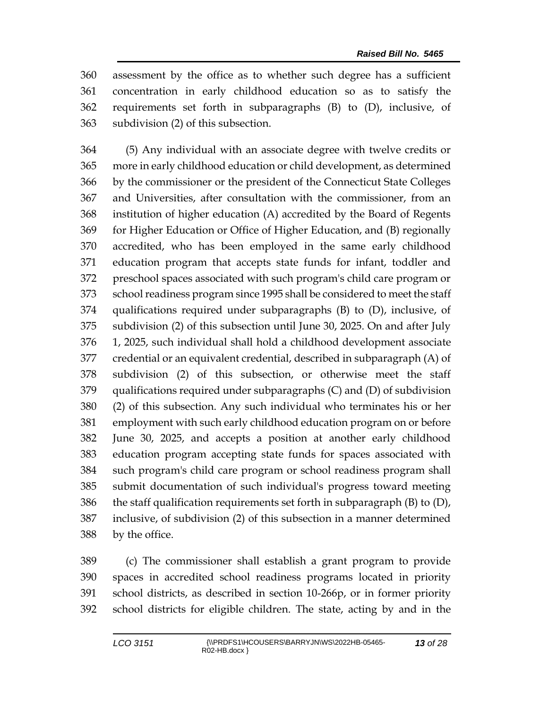assessment by the office as to whether such degree has a sufficient concentration in early childhood education so as to satisfy the requirements set forth in subparagraphs (B) to (D), inclusive, of subdivision (2) of this subsection.

 (5) Any individual with an associate degree with twelve credits or more in early childhood education or child development, as determined by the commissioner or the president of the Connecticut State Colleges and Universities, after consultation with the commissioner, from an institution of higher education (A) accredited by the Board of Regents for Higher Education or Office of Higher Education, and (B) regionally accredited, who has been employed in the same early childhood education program that accepts state funds for infant, toddler and preschool spaces associated with such program's child care program or school readiness program since 1995 shall be considered to meet the staff qualifications required under subparagraphs (B) to (D), inclusive, of subdivision (2) of this subsection until June 30, 2025. On and after July 1, 2025, such individual shall hold a childhood development associate credential or an equivalent credential, described in subparagraph (A) of subdivision (2) of this subsection, or otherwise meet the staff qualifications required under subparagraphs (C) and (D) of subdivision (2) of this subsection. Any such individual who terminates his or her employment with such early childhood education program on or before June 30, 2025, and accepts a position at another early childhood education program accepting state funds for spaces associated with such program's child care program or school readiness program shall submit documentation of such individual's progress toward meeting 386 the staff qualification requirements set forth in subparagraph  $(B)$  to  $(D)$ , inclusive, of subdivision (2) of this subsection in a manner determined by the office.

 (c) The commissioner shall establish a grant program to provide spaces in accredited school readiness programs located in priority school districts, as described in section 10-266p, or in former priority school districts for eligible children. The state, acting by and in the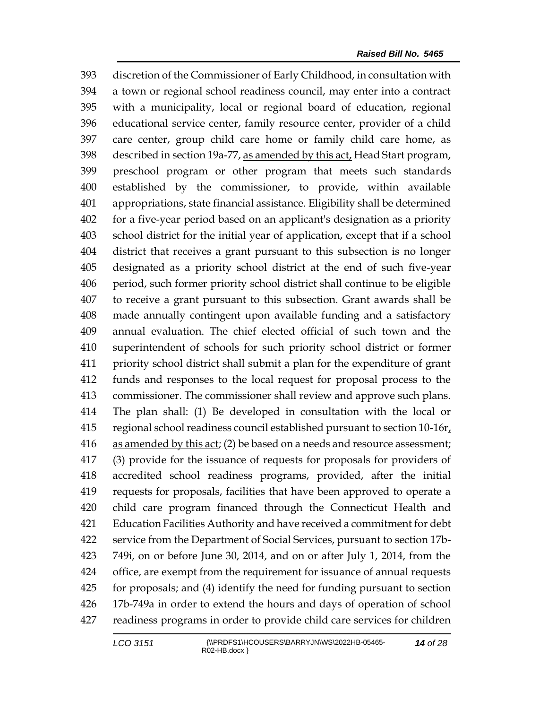discretion of the Commissioner of Early Childhood, in consultation with a town or regional school readiness council, may enter into a contract with a municipality, local or regional board of education, regional educational service center, family resource center, provider of a child care center, group child care home or family child care home, as 398 described in section 19a-77, as amended by this act, Head Start program, preschool program or other program that meets such standards established by the commissioner, to provide, within available appropriations, state financial assistance. Eligibility shall be determined for a five-year period based on an applicant's designation as a priority school district for the initial year of application, except that if a school district that receives a grant pursuant to this subsection is no longer designated as a priority school district at the end of such five-year period, such former priority school district shall continue to be eligible to receive a grant pursuant to this subsection. Grant awards shall be made annually contingent upon available funding and a satisfactory annual evaluation. The chief elected official of such town and the superintendent of schools for such priority school district or former priority school district shall submit a plan for the expenditure of grant funds and responses to the local request for proposal process to the commissioner. The commissioner shall review and approve such plans. The plan shall: (1) Be developed in consultation with the local or 415 regional school readiness council established pursuant to section  $10-16r<sub>t</sub>$  as amended by this act; (2) be based on a needs and resource assessment; (3) provide for the issuance of requests for proposals for providers of accredited school readiness programs, provided, after the initial requests for proposals, facilities that have been approved to operate a child care program financed through the Connecticut Health and Education Facilities Authority and have received a commitment for debt service from the Department of Social Services, pursuant to section 17b- 749i, on or before June 30, 2014, and on or after July 1, 2014, from the office, are exempt from the requirement for issuance of annual requests for proposals; and (4) identify the need for funding pursuant to section 17b-749a in order to extend the hours and days of operation of school readiness programs in order to provide child care services for children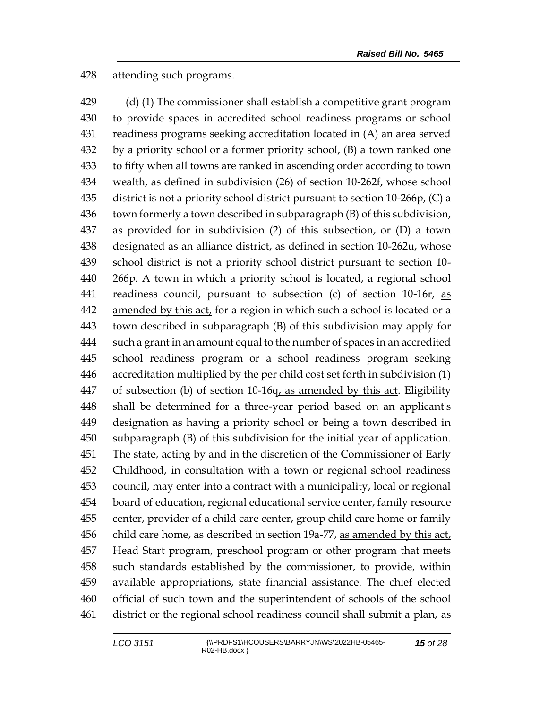attending such programs.

 (d) (1) The commissioner shall establish a competitive grant program to provide spaces in accredited school readiness programs or school readiness programs seeking accreditation located in (A) an area served by a priority school or a former priority school, (B) a town ranked one to fifty when all towns are ranked in ascending order according to town wealth, as defined in subdivision (26) of section 10-262f, whose school district is not a priority school district pursuant to section 10-266p, (C) a town formerly a town described in subparagraph (B) of this subdivision, as provided for in subdivision (2) of this subsection, or (D) a town designated as an alliance district, as defined in section 10-262u, whose school district is not a priority school district pursuant to section 10- 266p. A town in which a priority school is located, a regional school 441 readiness council, pursuant to subsection (c) of section 10-16r, as amended by this act, for a region in which such a school is located or a town described in subparagraph (B) of this subdivision may apply for such a grant in an amount equal to the number of spaces in an accredited school readiness program or a school readiness program seeking accreditation multiplied by the per child cost set forth in subdivision (1) 447 of subsection (b) of section 10-16q, as amended by this act. Eligibility shall be determined for a three-year period based on an applicant's designation as having a priority school or being a town described in subparagraph (B) of this subdivision for the initial year of application. The state, acting by and in the discretion of the Commissioner of Early Childhood, in consultation with a town or regional school readiness council, may enter into a contract with a municipality, local or regional board of education, regional educational service center, family resource center, provider of a child care center, group child care home or family child care home, as described in section 19a-77, as amended by this act, Head Start program, preschool program or other program that meets such standards established by the commissioner, to provide, within available appropriations, state financial assistance. The chief elected official of such town and the superintendent of schools of the school district or the regional school readiness council shall submit a plan, as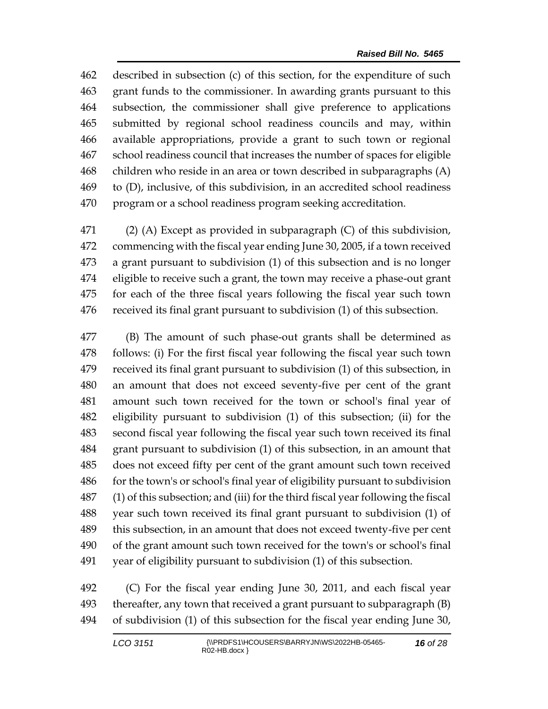described in subsection (c) of this section, for the expenditure of such grant funds to the commissioner. In awarding grants pursuant to this subsection, the commissioner shall give preference to applications submitted by regional school readiness councils and may, within available appropriations, provide a grant to such town or regional school readiness council that increases the number of spaces for eligible children who reside in an area or town described in subparagraphs (A) to (D), inclusive, of this subdivision, in an accredited school readiness program or a school readiness program seeking accreditation.

 (2) (A) Except as provided in subparagraph (C) of this subdivision, commencing with the fiscal year ending June 30, 2005, if a town received a grant pursuant to subdivision (1) of this subsection and is no longer eligible to receive such a grant, the town may receive a phase-out grant for each of the three fiscal years following the fiscal year such town received its final grant pursuant to subdivision (1) of this subsection.

 (B) The amount of such phase-out grants shall be determined as follows: (i) For the first fiscal year following the fiscal year such town received its final grant pursuant to subdivision (1) of this subsection, in an amount that does not exceed seventy-five per cent of the grant amount such town received for the town or school's final year of eligibility pursuant to subdivision (1) of this subsection; (ii) for the second fiscal year following the fiscal year such town received its final grant pursuant to subdivision (1) of this subsection, in an amount that does not exceed fifty per cent of the grant amount such town received for the town's or school's final year of eligibility pursuant to subdivision (1) of this subsection; and (iii) for the third fiscal year following the fiscal year such town received its final grant pursuant to subdivision (1) of this subsection, in an amount that does not exceed twenty-five per cent of the grant amount such town received for the town's or school's final year of eligibility pursuant to subdivision (1) of this subsection.

 (C) For the fiscal year ending June 30, 2011, and each fiscal year thereafter, any town that received a grant pursuant to subparagraph (B) of subdivision (1) of this subsection for the fiscal year ending June 30,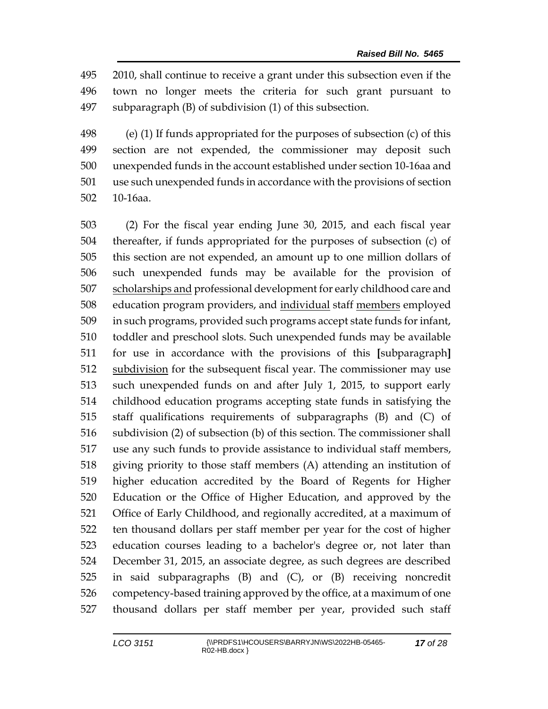2010, shall continue to receive a grant under this subsection even if the town no longer meets the criteria for such grant pursuant to subparagraph (B) of subdivision (1) of this subsection.

 (e) (1) If funds appropriated for the purposes of subsection (c) of this section are not expended, the commissioner may deposit such unexpended funds in the account established under section 10-16aa and use such unexpended funds in accordance with the provisions of section 10-16aa.

 (2) For the fiscal year ending June 30, 2015, and each fiscal year thereafter, if funds appropriated for the purposes of subsection (c) of this section are not expended, an amount up to one million dollars of such unexpended funds may be available for the provision of 507 scholarships and professional development for early childhood care and 508 education program providers, and individual staff members employed in such programs, provided such programs accept state funds for infant, toddler and preschool slots. Such unexpended funds may be available for use in accordance with the provisions of this **[**subparagraph**]** subdivision for the subsequent fiscal year. The commissioner may use such unexpended funds on and after July 1, 2015, to support early childhood education programs accepting state funds in satisfying the staff qualifications requirements of subparagraphs (B) and (C) of subdivision (2) of subsection (b) of this section. The commissioner shall use any such funds to provide assistance to individual staff members, giving priority to those staff members (A) attending an institution of higher education accredited by the Board of Regents for Higher Education or the Office of Higher Education, and approved by the Office of Early Childhood, and regionally accredited, at a maximum of ten thousand dollars per staff member per year for the cost of higher education courses leading to a bachelor's degree or, not later than December 31, 2015, an associate degree, as such degrees are described in said subparagraphs (B) and (C), or (B) receiving noncredit competency-based training approved by the office, at a maximum of one thousand dollars per staff member per year, provided such staff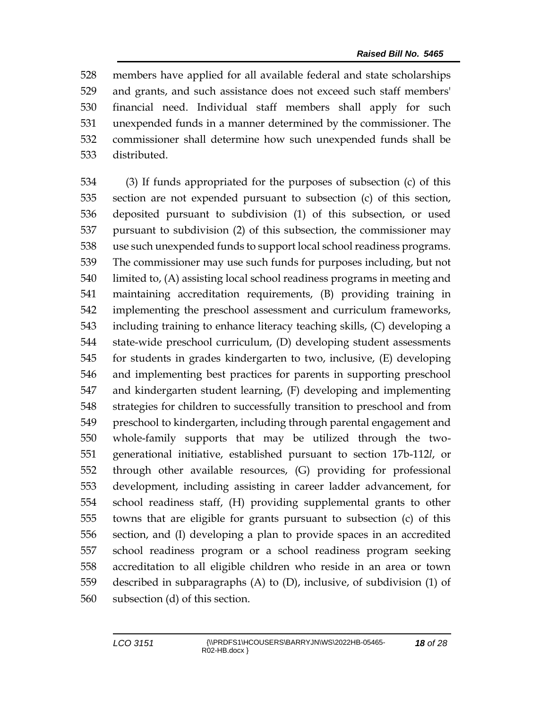members have applied for all available federal and state scholarships and grants, and such assistance does not exceed such staff members' financial need. Individual staff members shall apply for such unexpended funds in a manner determined by the commissioner. The commissioner shall determine how such unexpended funds shall be distributed.

 (3) If funds appropriated for the purposes of subsection (c) of this section are not expended pursuant to subsection (c) of this section, deposited pursuant to subdivision (1) of this subsection, or used pursuant to subdivision (2) of this subsection, the commissioner may use such unexpended funds to support local school readiness programs. The commissioner may use such funds for purposes including, but not limited to, (A) assisting local school readiness programs in meeting and maintaining accreditation requirements, (B) providing training in implementing the preschool assessment and curriculum frameworks, including training to enhance literacy teaching skills, (C) developing a state-wide preschool curriculum, (D) developing student assessments for students in grades kindergarten to two, inclusive, (E) developing and implementing best practices for parents in supporting preschool and kindergarten student learning, (F) developing and implementing strategies for children to successfully transition to preschool and from preschool to kindergarten, including through parental engagement and whole-family supports that may be utilized through the two- generational initiative, established pursuant to section 17b-112*l*, or through other available resources, (G) providing for professional development, including assisting in career ladder advancement, for school readiness staff, (H) providing supplemental grants to other towns that are eligible for grants pursuant to subsection (c) of this section, and (I) developing a plan to provide spaces in an accredited school readiness program or a school readiness program seeking accreditation to all eligible children who reside in an area or town described in subparagraphs (A) to (D), inclusive, of subdivision (1) of subsection (d) of this section.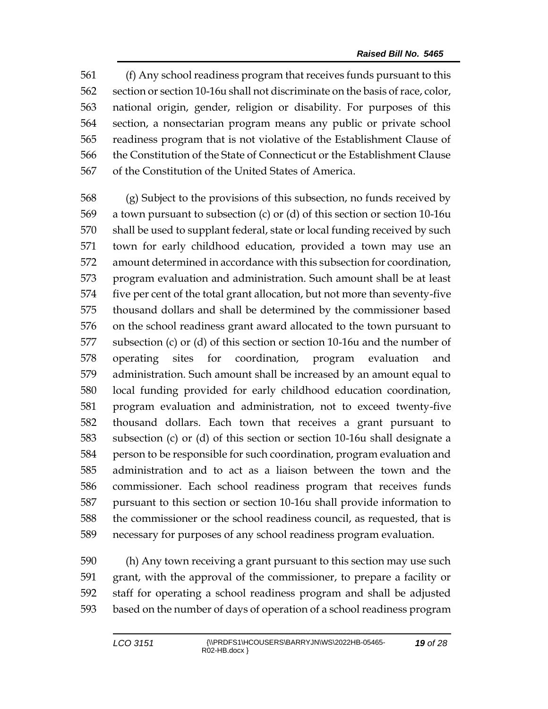(f) Any school readiness program that receives funds pursuant to this section or section 10-16u shall not discriminate on the basis of race, color, national origin, gender, religion or disability. For purposes of this section, a nonsectarian program means any public or private school readiness program that is not violative of the Establishment Clause of the Constitution of the State of Connecticut or the Establishment Clause of the Constitution of the United States of America.

 (g) Subject to the provisions of this subsection, no funds received by a town pursuant to subsection (c) or (d) of this section or section 10-16u shall be used to supplant federal, state or local funding received by such town for early childhood education, provided a town may use an amount determined in accordance with this subsection for coordination, program evaluation and administration. Such amount shall be at least five per cent of the total grant allocation, but not more than seventy-five thousand dollars and shall be determined by the commissioner based on the school readiness grant award allocated to the town pursuant to subsection (c) or (d) of this section or section 10-16u and the number of operating sites for coordination, program evaluation and administration. Such amount shall be increased by an amount equal to local funding provided for early childhood education coordination, program evaluation and administration, not to exceed twenty-five thousand dollars. Each town that receives a grant pursuant to subsection (c) or (d) of this section or section 10-16u shall designate a person to be responsible for such coordination, program evaluation and administration and to act as a liaison between the town and the commissioner. Each school readiness program that receives funds pursuant to this section or section 10-16u shall provide information to the commissioner or the school readiness council, as requested, that is necessary for purposes of any school readiness program evaluation.

 (h) Any town receiving a grant pursuant to this section may use such grant, with the approval of the commissioner, to prepare a facility or staff for operating a school readiness program and shall be adjusted based on the number of days of operation of a school readiness program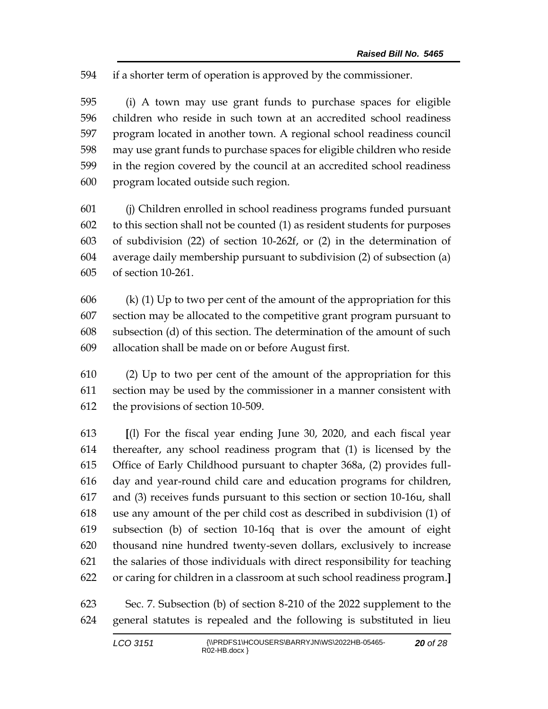if a shorter term of operation is approved by the commissioner.

 (i) A town may use grant funds to purchase spaces for eligible children who reside in such town at an accredited school readiness program located in another town. A regional school readiness council may use grant funds to purchase spaces for eligible children who reside in the region covered by the council at an accredited school readiness program located outside such region.

 (j) Children enrolled in school readiness programs funded pursuant to this section shall not be counted (1) as resident students for purposes of subdivision (22) of section 10-262f, or (2) in the determination of average daily membership pursuant to subdivision (2) of subsection (a) of section 10-261.

606 (k) (1) Up to two per cent of the amount of the appropriation for this section may be allocated to the competitive grant program pursuant to subsection (d) of this section. The determination of the amount of such allocation shall be made on or before August first.

 (2) Up to two per cent of the amount of the appropriation for this section may be used by the commissioner in a manner consistent with the provisions of section 10-509.

 **[**(l) For the fiscal year ending June 30, 2020, and each fiscal year thereafter, any school readiness program that (1) is licensed by the Office of Early Childhood pursuant to chapter 368a, (2) provides full- day and year-round child care and education programs for children, and (3) receives funds pursuant to this section or section 10-16u, shall use any amount of the per child cost as described in subdivision (1) of subsection (b) of section 10-16q that is over the amount of eight thousand nine hundred twenty-seven dollars, exclusively to increase the salaries of those individuals with direct responsibility for teaching or caring for children in a classroom at such school readiness program.**]**

 Sec. 7. Subsection (b) of section 8-210 of the 2022 supplement to the general statutes is repealed and the following is substituted in lieu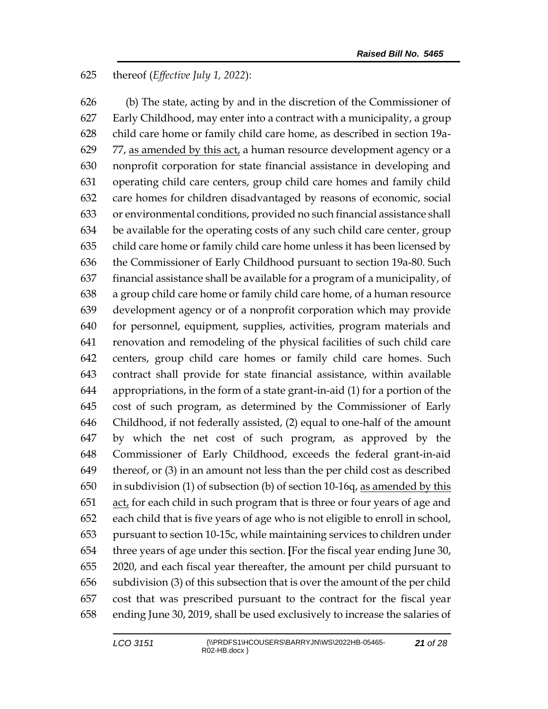### thereof (*Effective July 1, 2022*):

 (b) The state, acting by and in the discretion of the Commissioner of Early Childhood, may enter into a contract with a municipality, a group child care home or family child care home, as described in section 19a-629 77, as amended by this act, a human resource development agency or a nonprofit corporation for state financial assistance in developing and operating child care centers, group child care homes and family child care homes for children disadvantaged by reasons of economic, social or environmental conditions, provided no such financial assistance shall be available for the operating costs of any such child care center, group child care home or family child care home unless it has been licensed by the Commissioner of Early Childhood pursuant to section 19a-80. Such financial assistance shall be available for a program of a municipality, of a group child care home or family child care home, of a human resource development agency or of a nonprofit corporation which may provide for personnel, equipment, supplies, activities, program materials and renovation and remodeling of the physical facilities of such child care centers, group child care homes or family child care homes. Such contract shall provide for state financial assistance, within available appropriations, in the form of a state grant-in-aid (1) for a portion of the cost of such program, as determined by the Commissioner of Early Childhood, if not federally assisted, (2) equal to one-half of the amount by which the net cost of such program, as approved by the Commissioner of Early Childhood, exceeds the federal grant-in-aid thereof, or (3) in an amount not less than the per child cost as described in subdivision (1) of subsection (b) of section 10-16q, as amended by this act, for each child in such program that is three or four years of age and each child that is five years of age who is not eligible to enroll in school, pursuant to section 10-15c, while maintaining services to children under three years of age under this section. **[**For the fiscal year ending June 30, 2020, and each fiscal year thereafter, the amount per child pursuant to subdivision (3) of this subsection that is over the amount of the per child cost that was prescribed pursuant to the contract for the fiscal year ending June 30, 2019, shall be used exclusively to increase the salaries of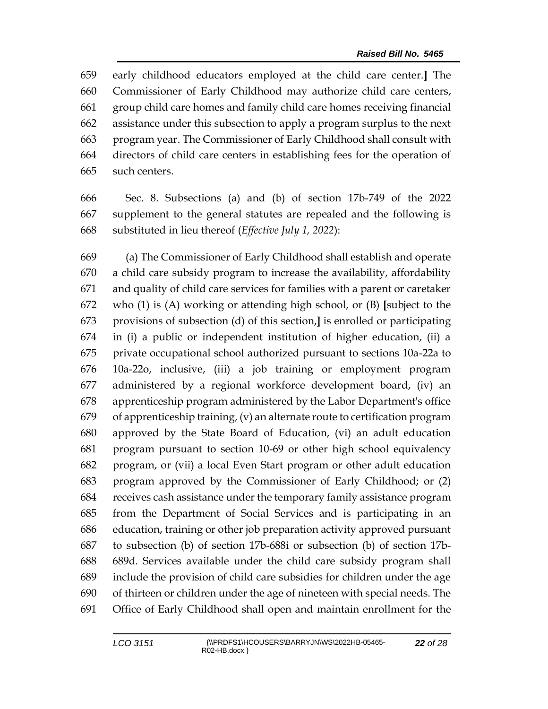early childhood educators employed at the child care center.**]** The Commissioner of Early Childhood may authorize child care centers, group child care homes and family child care homes receiving financial assistance under this subsection to apply a program surplus to the next program year. The Commissioner of Early Childhood shall consult with directors of child care centers in establishing fees for the operation of such centers.

 Sec. 8. Subsections (a) and (b) of section 17b-749 of the 2022 supplement to the general statutes are repealed and the following is substituted in lieu thereof (*Effective July 1, 2022*):

 (a) The Commissioner of Early Childhood shall establish and operate a child care subsidy program to increase the availability, affordability and quality of child care services for families with a parent or caretaker who (1) is (A) working or attending high school, or (B) **[**subject to the provisions of subsection (d) of this section,**]** is enrolled or participating in (i) a public or independent institution of higher education, (ii) a private occupational school authorized pursuant to sections 10a-22a to 10a-22o, inclusive, (iii) a job training or employment program administered by a regional workforce development board, (iv) an apprenticeship program administered by the Labor Department's office of apprenticeship training, (v) an alternate route to certification program approved by the State Board of Education, (vi) an adult education program pursuant to section 10-69 or other high school equivalency program, or (vii) a local Even Start program or other adult education program approved by the Commissioner of Early Childhood; or (2) receives cash assistance under the temporary family assistance program from the Department of Social Services and is participating in an education, training or other job preparation activity approved pursuant to subsection (b) of section 17b-688i or subsection (b) of section 17b- 689d. Services available under the child care subsidy program shall include the provision of child care subsidies for children under the age of thirteen or children under the age of nineteen with special needs. The Office of Early Childhood shall open and maintain enrollment for the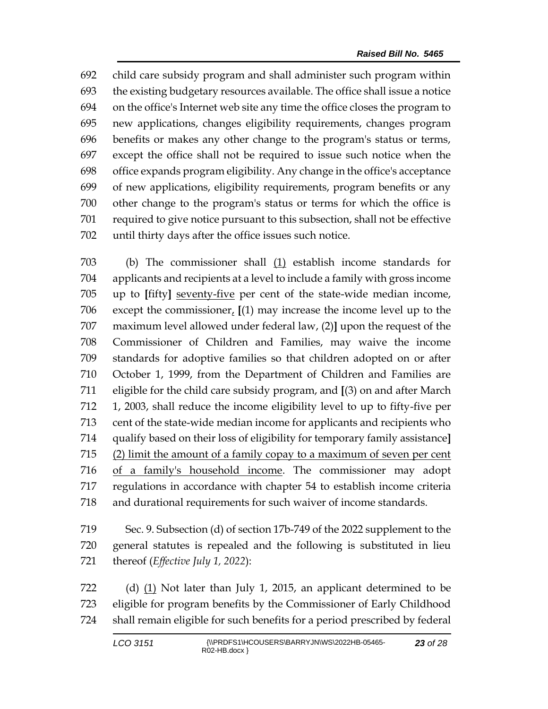child care subsidy program and shall administer such program within the existing budgetary resources available. The office shall issue a notice on the office's Internet web site any time the office closes the program to new applications, changes eligibility requirements, changes program benefits or makes any other change to the program's status or terms, except the office shall not be required to issue such notice when the office expands program eligibility. Any change in the office's acceptance of new applications, eligibility requirements, program benefits or any other change to the program's status or terms for which the office is required to give notice pursuant to this subsection, shall not be effective until thirty days after the office issues such notice.

 (b) The commissioner shall (1) establish income standards for applicants and recipients at a level to include a family with gross income up to **[**fifty**]** seventy-five per cent of the state-wide median income, except the commissioner, **[**(1) may increase the income level up to the maximum level allowed under federal law, (2)**]** upon the request of the Commissioner of Children and Families, may waive the income standards for adoptive families so that children adopted on or after October 1, 1999, from the Department of Children and Families are eligible for the child care subsidy program, and **[**(3) on and after March 1, 2003, shall reduce the income eligibility level to up to fifty-five per cent of the state-wide median income for applicants and recipients who qualify based on their loss of eligibility for temporary family assistance**]** (2) limit the amount of a family copay to a maximum of seven per cent of a family's household income. The commissioner may adopt regulations in accordance with chapter 54 to establish income criteria and durational requirements for such waiver of income standards.

 Sec. 9. Subsection (d) of section 17b-749 of the 2022 supplement to the general statutes is repealed and the following is substituted in lieu thereof (*Effective July 1, 2022*):

 (d) (1) Not later than July 1, 2015, an applicant determined to be eligible for program benefits by the Commissioner of Early Childhood shall remain eligible for such benefits for a period prescribed by federal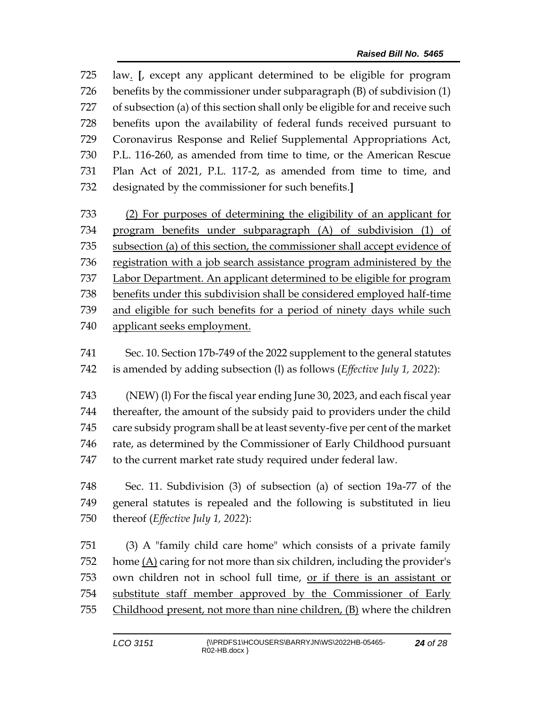law. **[**, except any applicant determined to be eligible for program benefits by the commissioner under subparagraph (B) of subdivision (1) of subsection (a) of this section shall only be eligible for and receive such benefits upon the availability of federal funds received pursuant to Coronavirus Response and Relief Supplemental Appropriations Act, P.L. 116-260, as amended from time to time, or the American Rescue Plan Act of 2021, P.L. 117-2, as amended from time to time, and designated by the commissioner for such benefits.**]**

 (2) For purposes of determining the eligibility of an applicant for program benefits under subparagraph (A) of subdivision (1) of subsection (a) of this section, the commissioner shall accept evidence of registration with a job search assistance program administered by the Labor Department. An applicant determined to be eligible for program benefits under this subdivision shall be considered employed half-time and eligible for such benefits for a period of ninety days while such applicant seeks employment.

 Sec. 10. Section 17b-749 of the 2022 supplement to the general statutes is amended by adding subsection (l) as follows (*Effective July 1, 2022*):

 (NEW) (l) For the fiscal year ending June 30, 2023, and each fiscal year thereafter, the amount of the subsidy paid to providers under the child care subsidy program shall be at least seventy-five per cent of the market rate, as determined by the Commissioner of Early Childhood pursuant to the current market rate study required under federal law.

 Sec. 11. Subdivision (3) of subsection (a) of section 19a-77 of the general statutes is repealed and the following is substituted in lieu thereof (*Effective July 1, 2022*):

 (3) A "family child care home" which consists of a private family home (A) caring for not more than six children, including the provider's own children not in school full time, or if there is an assistant or substitute staff member approved by the Commissioner of Early Childhood present, not more than nine children, (B) where the children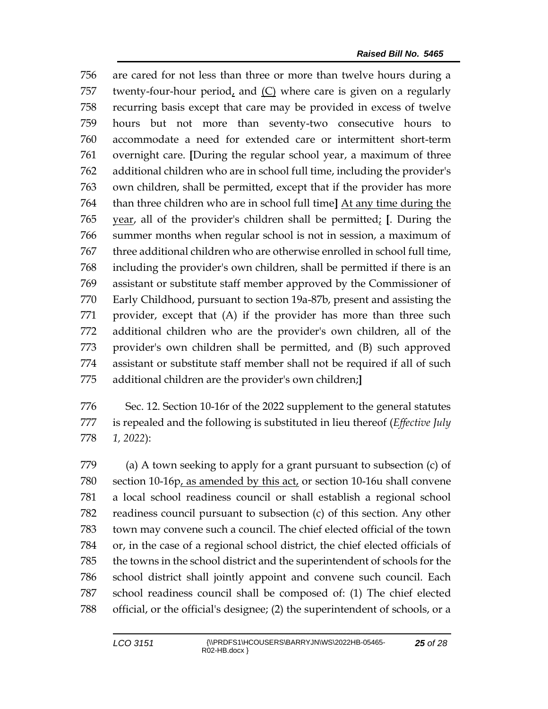are cared for not less than three or more than twelve hours during a twenty-four-hour period, and (C) where care is given on a regularly recurring basis except that care may be provided in excess of twelve hours but not more than seventy-two consecutive hours to accommodate a need for extended care or intermittent short-term overnight care. **[**During the regular school year, a maximum of three additional children who are in school full time, including the provider's own children, shall be permitted, except that if the provider has more than three children who are in school full time**]** At any time during the year, all of the provider's children shall be permitted; **[**. During the summer months when regular school is not in session, a maximum of three additional children who are otherwise enrolled in school full time, including the provider's own children, shall be permitted if there is an assistant or substitute staff member approved by the Commissioner of Early Childhood, pursuant to section 19a-87b, present and assisting the provider, except that (A) if the provider has more than three such additional children who are the provider's own children, all of the provider's own children shall be permitted, and (B) such approved assistant or substitute staff member shall not be required if all of such additional children are the provider's own children;**]**

 Sec. 12. Section 10-16r of the 2022 supplement to the general statutes is repealed and the following is substituted in lieu thereof (*Effective July 1, 2022*):

 (a) A town seeking to apply for a grant pursuant to subsection (c) of section 10-16p, as amended by this act, or section 10-16u shall convene a local school readiness council or shall establish a regional school readiness council pursuant to subsection (c) of this section. Any other town may convene such a council. The chief elected official of the town or, in the case of a regional school district, the chief elected officials of the towns in the school district and the superintendent of schools for the school district shall jointly appoint and convene such council. Each school readiness council shall be composed of: (1) The chief elected official, or the official's designee; (2) the superintendent of schools, or a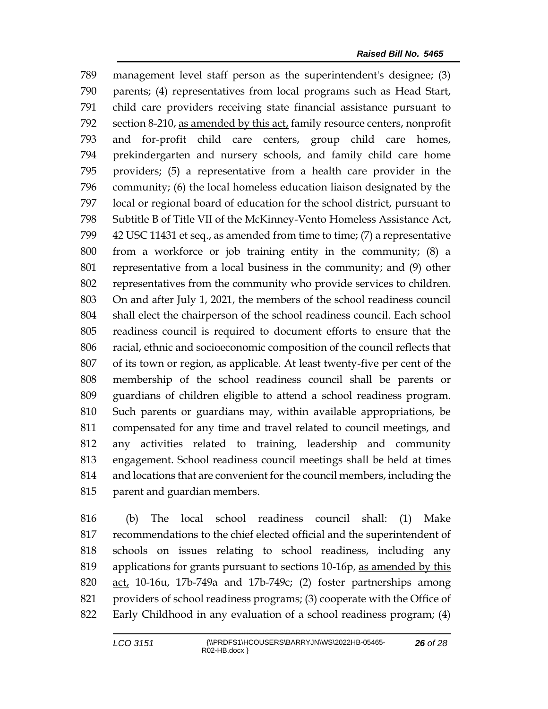management level staff person as the superintendent's designee; (3) parents; (4) representatives from local programs such as Head Start, child care providers receiving state financial assistance pursuant to section 8-210, as amended by this act, family resource centers, nonprofit and for-profit child care centers, group child care homes, prekindergarten and nursery schools, and family child care home providers; (5) a representative from a health care provider in the community; (6) the local homeless education liaison designated by the local or regional board of education for the school district, pursuant to Subtitle B of Title VII of the McKinney-Vento Homeless Assistance Act, 42 USC 11431 et seq., as amended from time to time; (7) a representative from a workforce or job training entity in the community; (8) a representative from a local business in the community; and (9) other representatives from the community who provide services to children. On and after July 1, 2021, the members of the school readiness council shall elect the chairperson of the school readiness council. Each school readiness council is required to document efforts to ensure that the racial, ethnic and socioeconomic composition of the council reflects that of its town or region, as applicable. At least twenty-five per cent of the membership of the school readiness council shall be parents or guardians of children eligible to attend a school readiness program. Such parents or guardians may, within available appropriations, be compensated for any time and travel related to council meetings, and any activities related to training, leadership and community engagement. School readiness council meetings shall be held at times and locations that are convenient for the council members, including the parent and guardian members.

 (b) The local school readiness council shall: (1) Make recommendations to the chief elected official and the superintendent of schools on issues relating to school readiness, including any applications for grants pursuant to sections 10-16p, as amended by this act, 10-16u, 17b-749a and 17b-749c; (2) foster partnerships among providers of school readiness programs; (3) cooperate with the Office of Early Childhood in any evaluation of a school readiness program; (4)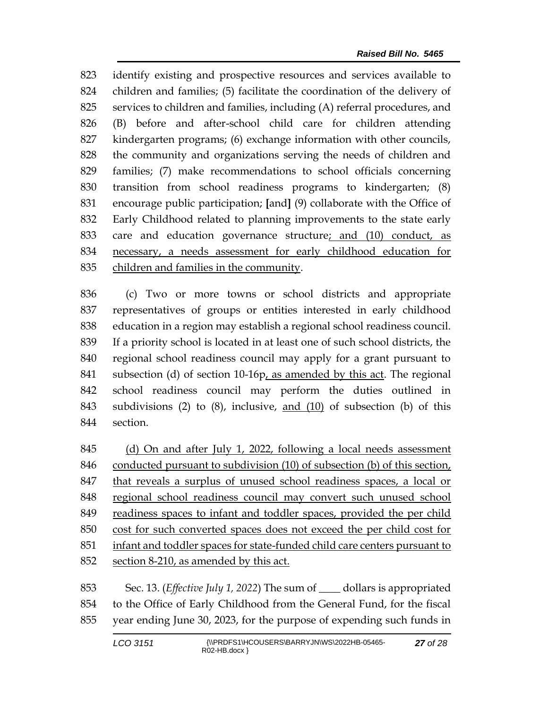identify existing and prospective resources and services available to children and families; (5) facilitate the coordination of the delivery of services to children and families, including (A) referral procedures, and (B) before and after-school child care for children attending kindergarten programs; (6) exchange information with other councils, the community and organizations serving the needs of children and families; (7) make recommendations to school officials concerning transition from school readiness programs to kindergarten; (8) encourage public participation; **[**and**]** (9) collaborate with the Office of Early Childhood related to planning improvements to the state early care and education governance structure; and (10) conduct, as necessary, a needs assessment for early childhood education for children and families in the community.

 (c) Two or more towns or school districts and appropriate representatives of groups or entities interested in early childhood education in a region may establish a regional school readiness council. If a priority school is located in at least one of such school districts, the regional school readiness council may apply for a grant pursuant to subsection (d) of section 10-16p, as amended by this act. The regional school readiness council may perform the duties outlined in subdivisions (2) to (8), inclusive, and (10) of subsection (b) of this section.

 (d) On and after July 1, 2022, following a local needs assessment conducted pursuant to subdivision (10) of subsection (b) of this section, that reveals a surplus of unused school readiness spaces, a local or regional school readiness council may convert such unused school readiness spaces to infant and toddler spaces, provided the per child cost for such converted spaces does not exceed the per child cost for infant and toddler spaces for state-funded child care centers pursuant to section 8-210, as amended by this act.

 Sec. 13. (*Effective July 1, 2022*) The sum of \_\_\_\_ dollars is appropriated to the Office of Early Childhood from the General Fund, for the fiscal year ending June 30, 2023, for the purpose of expending such funds in